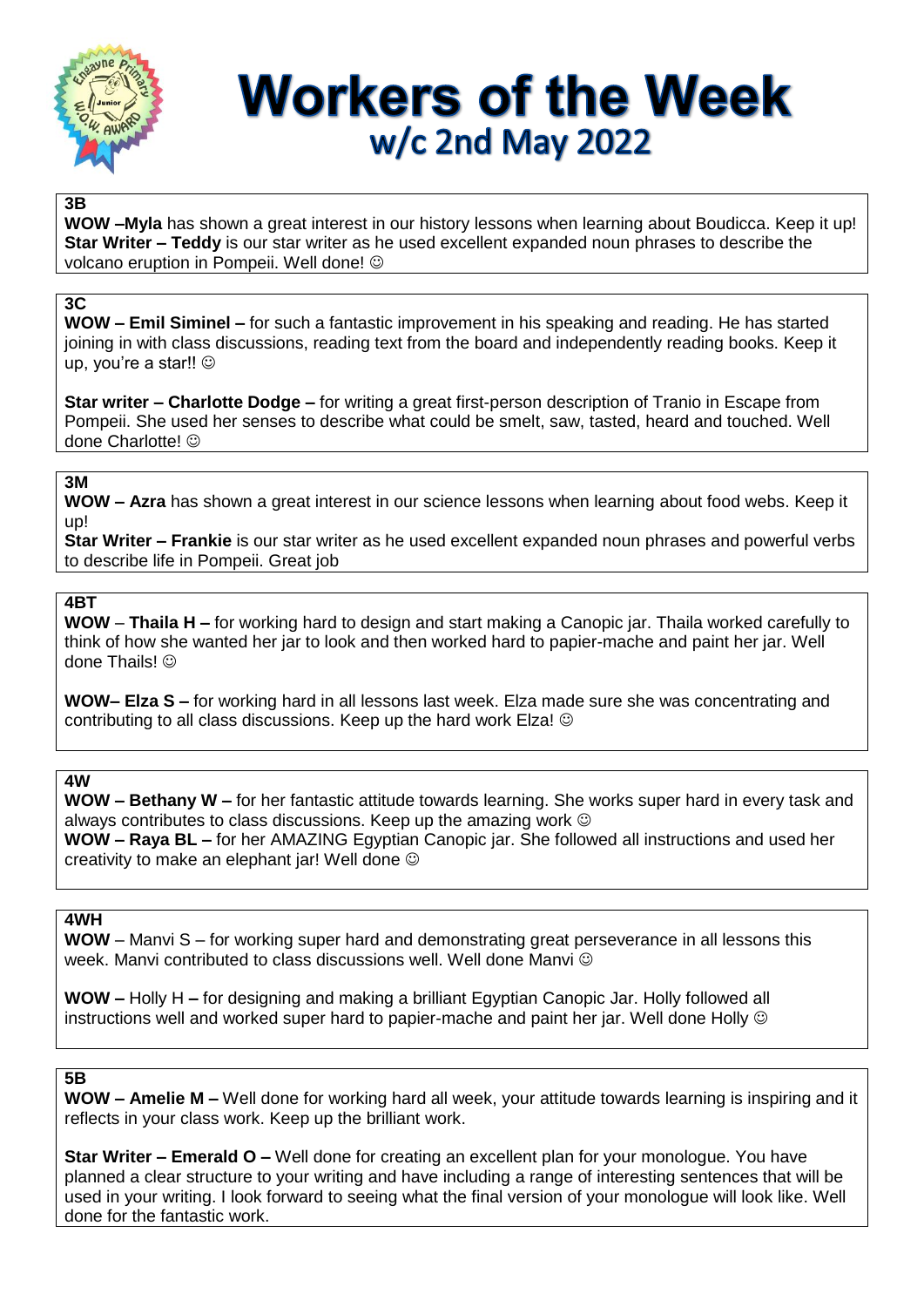

# **Workers of the Week** w/c 2nd May 2022

## **3B**

**WOW –Myla** has shown a great interest in our history lessons when learning about Boudicca. Keep it up! **Star Writer – Teddy** is our star writer as he used excellent expanded noun phrases to describe the volcano eruption in Pompeii. Well done!

## **3C**

**WOW – Emil Siminel –** for such a fantastic improvement in his speaking and reading. He has started joining in with class discussions, reading text from the board and independently reading books. Keep it up, you're a star!! ©

**Star writer – Charlotte Dodge –** for writing a great first-person description of Tranio in Escape from Pompeii. She used her senses to describe what could be smelt, saw, tasted, heard and touched. Well done Charlotte!

#### **3M**

**WOW – Azra** has shown a great interest in our science lessons when learning about food webs. Keep it up!

**Star Writer – Frankie** is our star writer as he used excellent expanded noun phrases and powerful verbs to describe life in Pompeii. Great job

## **4BT**

**WOW** – **Thaila H –** for working hard to design and start making a Canopic jar. Thaila worked carefully to think of how she wanted her jar to look and then worked hard to papier-mache and paint her jar. Well done Thails! ©

**WOW– Elza S –** for working hard in all lessons last week. Elza made sure she was concentrating and contributing to all class discussions. Keep up the hard work Elza!

### **4W**

**WOW – Bethany W –** for her fantastic attitude towards learning. She works super hard in every task and always contributes to class discussions. Keep up the amazing work **WOW – Raya BL –** for her AMAZING Egyptian Canopic jar. She followed all instructions and used her creativity to make an elephant jar! Well done

### **4WH**

**WOW** – Manvi S – for working super hard and demonstrating great perseverance in all lessons this week. Manvi contributed to class discussions well. Well done Manvi

**WOW –** Holly H **–** for designing and making a brilliant Egyptian Canopic Jar. Holly followed all instructions well and worked super hard to papier-mache and paint her jar. Well done Holly  $\circledcirc$ 

## **5B**

**WOW – Amelie M –** Well done for working hard all week, your attitude towards learning is inspiring and it reflects in your class work. Keep up the brilliant work.

**Star Writer – Emerald O –** Well done for creating an excellent plan for your monologue. You have planned a clear structure to your writing and have including a range of interesting sentences that will be used in your writing. I look forward to seeing what the final version of your monologue will look like. Well done for the fantastic work.